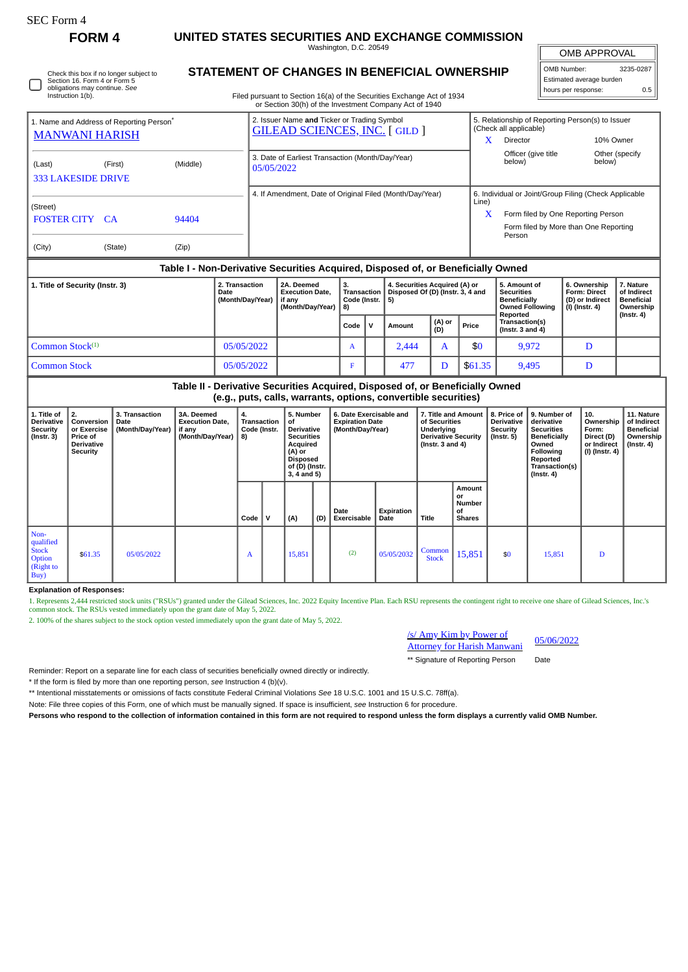L

# **FORM 4 UNITED STATES SECURITIES AND EXCHANGE COMMISSION**

Washington, D.C. 20549

 $\mathbb{I}$ OMB APPROVAL

| OMB Number:              | 3235-0287 |  |  |  |  |  |  |  |  |
|--------------------------|-----------|--|--|--|--|--|--|--|--|
| Estimated average burden |           |  |  |  |  |  |  |  |  |
| hours per response:      | 0.5       |  |  |  |  |  |  |  |  |

obligations may continue. *See* Instruction 1(b)

Filed pursuant to Section 16(a) of the Securities Exchange Act of 1934 or Section 30(h) of the Investment Company Act of 1940

| 1. Name and Address of Reporting Person <sup>®</sup><br><b>MANWANI HARISH</b>    |         |                | 2. Issuer Name and Ticker or Trading Symbol<br><b>GILEAD SCIENCES, INC. [GILD ]</b> |                                                          |                                                                    |                                                |                        |                                                                         |                                        | 5. Relationship of Reporting Person(s) to Issuer<br>(Check all applicable)<br>X<br>Director<br>10% Owner |                                                                                                                                                |                                                                          |                                                                          |  |  |
|----------------------------------------------------------------------------------|---------|----------------|-------------------------------------------------------------------------------------|----------------------------------------------------------|--------------------------------------------------------------------|------------------------------------------------|------------------------|-------------------------------------------------------------------------|----------------------------------------|----------------------------------------------------------------------------------------------------------|------------------------------------------------------------------------------------------------------------------------------------------------|--------------------------------------------------------------------------|--------------------------------------------------------------------------|--|--|
| (Last)<br><b>333 LAKESIDE DRIVE</b>                                              | (First) |                | 3. Date of Earliest Transaction (Month/Day/Year)<br>05/05/2022                      |                                                          |                                                                    |                                                |                        |                                                                         |                                        | Officer (give title<br>below)                                                                            | below)                                                                                                                                         | Other (specify                                                           |                                                                          |  |  |
| (Street)<br><b>FOSTER CITY CA</b><br>(City)                                      | (State) | 94404<br>(Zip) |                                                                                     | 4. If Amendment, Date of Original Filed (Month/Day/Year) |                                                                    |                                                |                        |                                                                         |                                        | Line)<br>X                                                                                               | 6. Individual or Joint/Group Filing (Check Applicable<br>Form filed by One Reporting Person<br>Form filed by More than One Reporting<br>Person |                                                                          |                                                                          |  |  |
| Table I - Non-Derivative Securities Acquired, Disposed of, or Beneficially Owned |         |                |                                                                                     |                                                          |                                                                    |                                                |                        |                                                                         |                                        |                                                                                                          |                                                                                                                                                |                                                                          |                                                                          |  |  |
| 1. Title of Security (Instr. 3)<br>2. Transaction<br>Date<br>(Month/Day/Year)    |         |                |                                                                                     |                                                          | 2A. Deemed<br><b>Execution Date.</b><br>if any<br>(Month/Day/Year) | 3.<br><b>Transaction</b><br>Code (Instr.<br>8) |                        | 4. Securities Acquired (A) or<br>Disposed Of (D) (Instr. 3, 4 and<br>5) |                                        |                                                                                                          | 5. Amount of<br><b>Securities</b><br><b>Beneficially</b><br><b>Owned Following</b><br>Reported                                                 | 6. Ownership<br><b>Form: Direct</b><br>(D) or Indirect<br>(I) (Instr. 4) | 7. Nature<br>of Indirect<br><b>Beneficial</b><br>Ownership<br>(Instr. 4) |  |  |
|                                                                                  |         |                |                                                                                     | Code                                                     | v                                                                  | Amount                                         | (A) or<br>(D)<br>Price |                                                                         | Transaction(s)<br>( $lnstr. 3 and 4$ ) |                                                                                                          |                                                                                                                                                |                                                                          |                                                                          |  |  |
| Common Stock $(1)$<br>05/05/2022                                                 |         |                |                                                                                     |                                                          |                                                                    | A                                              |                        | 2,444                                                                   | A                                      | \$0                                                                                                      | 9,972                                                                                                                                          | D                                                                        |                                                                          |  |  |

### **Table II - Derivative Securities Acquired, Disposed of, or Beneficially Owned (e.g., puts, calls, warrants, options, convertible securities) 3. Transaction 3A. Deemed 4. 5. Number 6. Date Exercisable and 7. Title and Amount 8. Price of 9. Number of**

Common Stock **D Common Stock D D Common Stock D D D D D D D D D** 

| 1. Title of<br>Derivative<br><b>Security</b><br>(Instr. 3)       | 2.<br>Conversion<br>or Exercise<br>Price of<br><b>Derivative</b><br>Security | 3. Transaction<br>Date<br>(Month/Day/Year) | 3A. Deemed<br><b>Execution Date,</b><br>if any<br>(Month/Day/Year) | 4.<br>Transaction<br>Code (Instr.<br>8) |              | 5. Number<br>of<br><b>Derivative</b><br><b>Securities</b><br>Acquired<br>(A) or<br><b>Disposed</b><br>of (D) (Instr.<br>$3, 4$ and $5)$ |     | 6. Date Exercisable and<br><b>Expiration Date</b><br>(Month/Day/Year) |                    | 7. Title and Amount<br>of Securities<br>Underlying<br><b>Derivative Security</b><br>( $Instr. 3 and 4$ ) |                                                      | 8. Price of<br>Derivative<br>Security<br>(Instr. 5) | 9. Number of<br>derivative<br><b>Securities</b><br>Beneficially<br>Owned<br><b>Following</b><br>Reported<br>Transaction(s)<br>$($ lnstr. 4 $)$ | 10.<br>Ownership<br>Form:<br>Direct (D)<br>or Indirect<br>(I) (Instr. 4) | 11. Nature<br>of Indirect<br><b>Beneficial</b><br>Ownership<br>$($ lnstr. 4 $)$ |
|------------------------------------------------------------------|------------------------------------------------------------------------------|--------------------------------------------|--------------------------------------------------------------------|-----------------------------------------|--------------|-----------------------------------------------------------------------------------------------------------------------------------------|-----|-----------------------------------------------------------------------|--------------------|----------------------------------------------------------------------------------------------------------|------------------------------------------------------|-----------------------------------------------------|------------------------------------------------------------------------------------------------------------------------------------------------|--------------------------------------------------------------------------|---------------------------------------------------------------------------------|
|                                                                  |                                                                              |                                            |                                                                    | Code                                    | $\mathsf{v}$ | (A)                                                                                                                                     | (D) | Date<br>Exercisable                                                   | Expiration<br>Date | Title                                                                                                    | Amount<br>or<br><b>Number</b><br>οf<br><b>Shares</b> |                                                     |                                                                                                                                                |                                                                          |                                                                                 |
| Non-<br>qualified<br><b>Stock</b><br>Option<br>(Right to<br>Buy) | \$61.35                                                                      | 05/05/2022                                 |                                                                    | A                                       |              | 15,851                                                                                                                                  |     | (2)                                                                   | 05/05/2032         | Common<br><b>Stock</b>                                                                                   | 15,851                                               | \$0                                                 | 15,851                                                                                                                                         | D                                                                        |                                                                                 |

**Explanation of Responses:**

1. Represents 2,444 restricted stock units ("RSUs") granted under the Gilead Sciences, Inc. 2022 Equity Incentive Plan. Each RSU represents the contingent right to receive one share of Gilead Sciences, Inc.'s common stock. The RSUs vested immediately upon the grant date of May 5, 2022.

2. 100% of the shares subject to the stock option vested immediately upon the grant date of May 5, 2022.

## /s/ Amy Kim by Power of **Attorney for Harish Manwani** 05/06/2022

\*\* Signature of Reporting Person Date

Reminder: Report on a separate line for each class of securities beneficially owned directly or indirectly.

\* If the form is filed by more than one reporting person, *see* Instruction 4 (b)(v).

\*\* Intentional misstatements or omissions of facts constitute Federal Criminal Violations *See* 18 U.S.C. 1001 and 15 U.S.C. 78ff(a).

Note: File three copies of this Form, one of which must be manually signed. If space is insufficient, *see* Instruction 6 for procedure.

**Persons who respond to the collection of information contained in this form are not required to respond unless the form displays a currently valid OMB Number.**

Check this box if no longer subject to Section 16. Form 4 or Form 5

## **STATEMENT OF CHANGES IN BENEFICIAL OWNERSHIP**